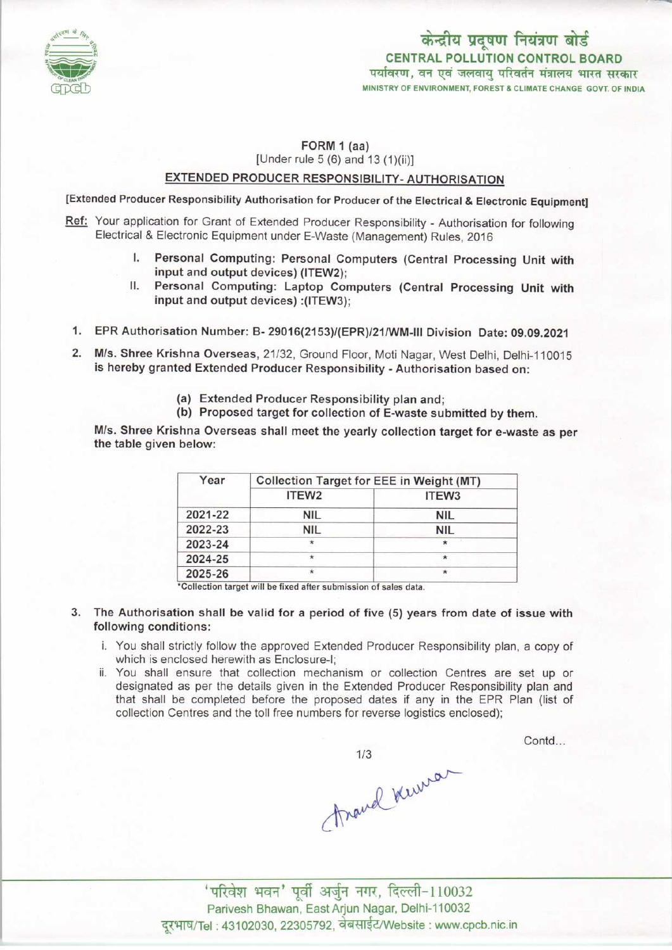

### FORM 1 (aa) [Under rule 5 (6) and 13 (1)(ii)]

# EXTENDED PRODUCER RESPONSIBILITY- AUTHORISATION

[Extended Producer Responsibility Authorisation for Producer of the Electrical & Electronic Equipment]

- Ref: Your application for Grant of Extended Producer Responsibility Authorisation for following Electrical & Electronic Equipment under E-Waste (Management) Rules, 2016
	- I. Personal Computing: Personal Computers (Central Processing Unit with input and output devices) (ITEW2);
	- II. Personal Computing: Laptop Computers (Central Processing Unit with input and output devices) :(ITEW3);
- 1.EPR Authorisation Number: B- 29016(2153)/(EPR}/21/WM-lll Division Date: 09.09.2021
- 2. M/s. Shree Krishna Overseas, 21/32, Ground Floor, Moti Nagar, West Delhi, Delhi-110015 is hereby granted Extended Producer Responsibility - Authorisation based on:
	- (a) Extended Producer Responsibility plan and;
	- (b) Proposed target for collection of E-waste submitted by them.

M/s. Shree Krishna Overseas shall meet the yearly collection target for e-waste as per the table given below:

| Year    | <b>Collection Target for EEE in Weight (MT)</b> |                   |
|---------|-------------------------------------------------|-------------------|
|         | ITEW <sub>2</sub>                               | ITEW <sub>3</sub> |
| 2021-22 | <b>NIL</b>                                      | <b>NIL</b>        |
| 2022-23 | <b>NIL</b>                                      | <b>NIL</b>        |
| 2023-24 | $\star$                                         |                   |
| 2024-25 | $\star$                                         | $\star$           |
| 2025-26 | $\star$                                         | $\star$           |

'Collection target will be fixed aftersubmission of sales data.

- 3. The Authorisation shall be valid for a period of five (5) years from date of issue with following conditions:
	- i. You shall strictly follow the approved Extended Producer Responsibility plan, a copy of which is enclosed herewith as Enclosure-I;
	- ii. You shall ensure that collection mechanism or collection Centres are set up or designated as per the details given in the Extended Producer Responsibility plan and that shall be completed before the proposed dates if any in the EPR Plan (list of collection Centres and the toll free numbers for reverse logistics enclosed);

Contd...

1/3<br>Around Kerrena

'परिवेश भवन' पूर्वी अर्जुन नगर, दिल्ली-110032 Parivesh Bhawan, East Arjun Nagar, Delhi-110032 दूरभाष/Tel: 43102030, 22305792, वेबसाईट/Website : www.cpcb.nic.in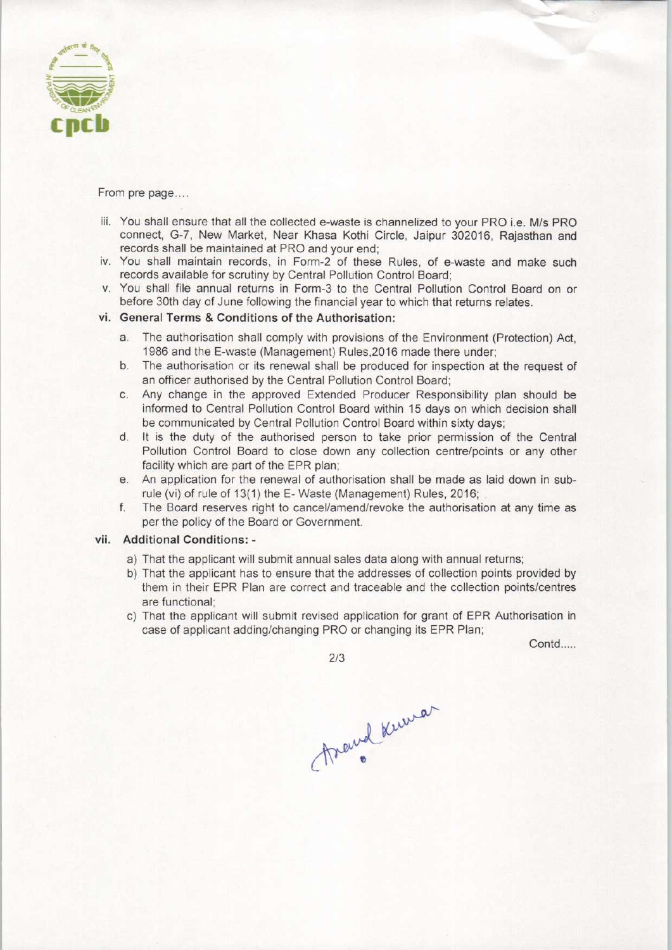

From pre page....

- iii. You shall ensure that all the collected e-waste is channelized to your PRO i.e. M/s PRO connect, G-7, New Market, Near Khasa Kothi Circle, Jaipur 302016, Rajasthan and records shall be maintained at PRO and your end;
- iv. You shall maintain records, in Form-2 of these Rules, of e-waste and make such records available for scrutiny by Central Pollution Control Board;
- v. You shall file annual returns in Form-3 to the Central Pollution Control Board on or before 30th day of June following the financial year to which that returns relates.

### vi. General Terms & Conditions of the Authorisation:

- a.The authorisation shall comply with provisions of the Environment (Protection) Act, 1986 and the E-waste (Management) Rules,2016 made there under;
- b. The authorisation or its renewal shall be produced for inspection at the request of an officer authorised by the Central Pollution Control Board;
- c.Any change in the approved Extended Producer Responsibility plan should be informed to Central Pollution Control Board within 15 days on which decision shall be communicated by Central Pollution Control Board within sixty days;
- d. It is the duty of the authorised person to take prior permission of the Central Pollution Control Board to close down any collection centre/points or any other facility which are part of the EPR plan;
- e.An application for the renewal of authorisation shall be made aslaid down in subrule (vi) of rule of 13(1) the E-Waste (Management) Rules, 2016;
- f.The Board reserves right to cancel/amend/revoke the authorisation at any time as per the policy of the Board or Government.

## vii. Additional Conditions: -

- a) That the applicant will submit annual sales data along with annual returns;
- b) That the applicant has to ensure that the addresses of collection points provided by them in their EPR Plan are correct and traceable and the collection points/centres are functional;
- c) That the applicant will submit revised application for grant of EPR Authorisation in case of applicant adding/changing PRO or changing its EPR Plan;

Contd.....

2/3

Anewel Knewar